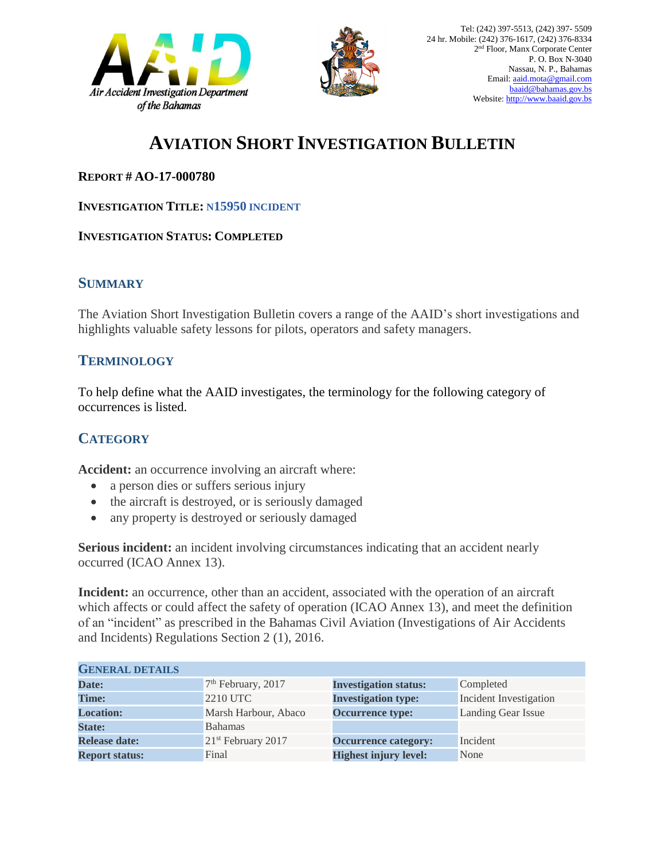



# **AVIATION SHORT INVESTIGATION BULLETIN**

#### **REPORT # AO-17-000780**

#### **INVESTIGATION TITLE: N15950 INCIDENT**

#### **INVESTIGATION STATUS: COMPLETED**

### **SUMMARY**

The Aviation Short Investigation Bulletin covers a range of the AAID's short investigations and highlights valuable safety lessons for pilots, operators and safety managers.

## **TERMINOLOGY**

To help define what the AAID investigates, the terminology for the following category of occurrences is listed.

## **CATEGORY**

**Accident:** an occurrence involving an aircraft where:

- a person dies or suffers serious injury
- the aircraft is destroyed, or is seriously damaged
- any property is destroyed or seriously damaged

**Serious incident:** an incident involving circumstances indicating that an accident nearly occurred (ICAO Annex 13).

**Incident:** an occurrence, other than an accident, associated with the operation of an aircraft which affects or could affect the safety of operation (ICAO Annex 13), and meet the definition of an "incident" as prescribed in the Bahamas Civil Aviation (Investigations of Air Accidents and Incidents) Regulations Section 2 (1), 2016.

| <b>GENERAL DETAILS</b> |                                |                              |                               |
|------------------------|--------------------------------|------------------------------|-------------------------------|
| Date:                  | $7th$ February, 2017           | <b>Investigation status:</b> | Completed                     |
| <b>Time:</b>           | 2210 UTC                       | <b>Investigation type:</b>   | <b>Incident Investigation</b> |
| <b>Location:</b>       | Marsh Harbour, Abaco           | <b>Occurrence type:</b>      | Landing Gear Issue            |
| <b>State:</b>          | <b>Bahamas</b>                 |                              |                               |
| <b>Release date:</b>   | 21 <sup>st</sup> February 2017 | <b>Occurrence category:</b>  | Incident                      |
| <b>Report status:</b>  | Final                          | <b>Highest injury level:</b> | None                          |